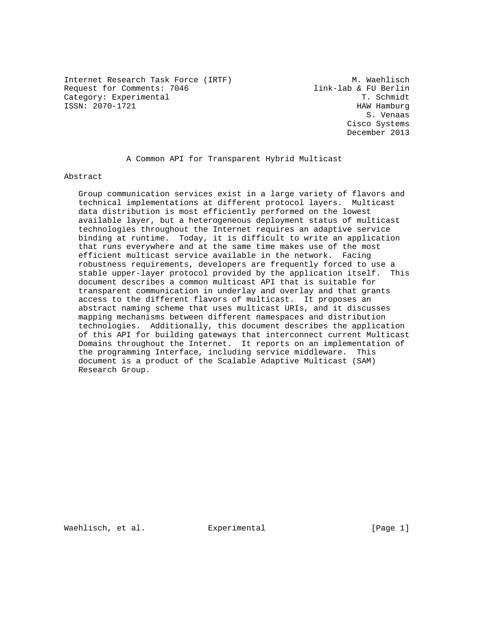Internet Research Task Force (IRTF) M. Waehlisch Request for Comments: 7046 link-lab & FU Berlin Category: Experimental T. Schmidt ISSN: 2070-1721 HAW Hamburg

 S. Venaas Cisco Systems December 2013

A Common API for Transparent Hybrid Multicast

Abstract

 Group communication services exist in a large variety of flavors and technical implementations at different protocol layers. Multicast data distribution is most efficiently performed on the lowest available layer, but a heterogeneous deployment status of multicast technologies throughout the Internet requires an adaptive service binding at runtime. Today, it is difficult to write an application that runs everywhere and at the same time makes use of the most efficient multicast service available in the network. Facing robustness requirements, developers are frequently forced to use a stable upper-layer protocol provided by the application itself. This document describes a common multicast API that is suitable for transparent communication in underlay and overlay and that grants access to the different flavors of multicast. It proposes an abstract naming scheme that uses multicast URIs, and it discusses mapping mechanisms between different namespaces and distribution technologies. Additionally, this document describes the application of this API for building gateways that interconnect current Multicast Domains throughout the Internet. It reports on an implementation of the programming Interface, including service middleware. This document is a product of the Scalable Adaptive Multicast (SAM) Research Group.

Waehlisch, et al. Experimental [Page 1]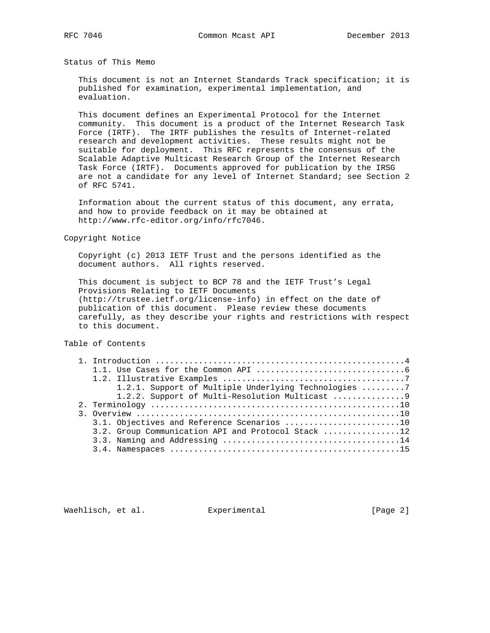Status of This Memo

 This document is not an Internet Standards Track specification; it is published for examination, experimental implementation, and evaluation.

 This document defines an Experimental Protocol for the Internet community. This document is a product of the Internet Research Task Force (IRTF). The IRTF publishes the results of Internet-related research and development activities. These results might not be suitable for deployment. This RFC represents the consensus of the Scalable Adaptive Multicast Research Group of the Internet Research Task Force (IRTF). Documents approved for publication by the IRSG are not a candidate for any level of Internet Standard; see Section 2 of RFC 5741.

 Information about the current status of this document, any errata, and how to provide feedback on it may be obtained at http://www.rfc-editor.org/info/rfc7046.

Copyright Notice

 Copyright (c) 2013 IETF Trust and the persons identified as the document authors. All rights reserved.

 This document is subject to BCP 78 and the IETF Trust's Legal Provisions Relating to IETF Documents (http://trustee.ietf.org/license-info) in effect on the date of publication of this document. Please review these documents carefully, as they describe your rights and restrictions with respect to this document.

Table of Contents

|  | 1.2.1. Support of Multiple Underlying Technologies 7 |
|--|------------------------------------------------------|
|  |                                                      |
|  |                                                      |
|  |                                                      |
|  | 3.1. Objectives and Reference Scenarios 10           |
|  | 3.2. Group Communication API and Protocol Stack 12   |
|  |                                                      |
|  |                                                      |
|  |                                                      |

Waehlisch, et al. Experimental [Page 2]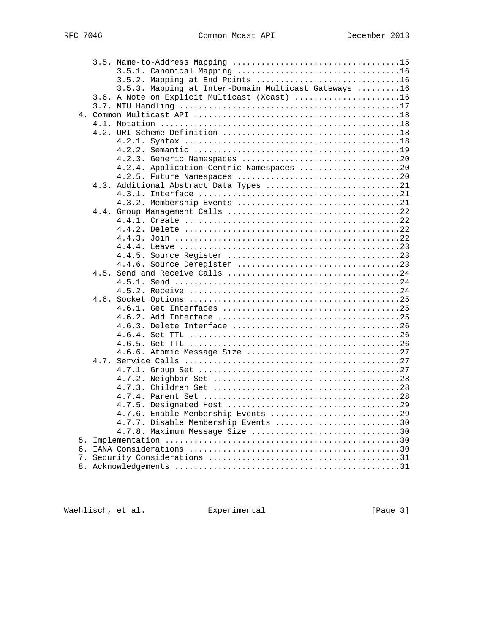|    | 3.5.2. Mapping at End Points 16                      |  |
|----|------------------------------------------------------|--|
|    | 3.5.3. Mapping at Inter-Domain Multicast Gateways 16 |  |
|    | 3.6. A Note on Explicit Multicast (Xcast) 16         |  |
|    |                                                      |  |
|    |                                                      |  |
|    |                                                      |  |
|    |                                                      |  |
|    |                                                      |  |
|    |                                                      |  |
|    |                                                      |  |
|    | 4.2.4. Application-Centric Namespaces 20             |  |
|    |                                                      |  |
|    | 4.3. Additional Abstract Data Types 21               |  |
|    |                                                      |  |
|    |                                                      |  |
|    |                                                      |  |
|    |                                                      |  |
|    |                                                      |  |
|    |                                                      |  |
|    |                                                      |  |
|    |                                                      |  |
|    |                                                      |  |
|    |                                                      |  |
|    |                                                      |  |
|    |                                                      |  |
|    |                                                      |  |
|    |                                                      |  |
|    |                                                      |  |
|    |                                                      |  |
|    |                                                      |  |
|    |                                                      |  |
|    |                                                      |  |
|    |                                                      |  |
|    |                                                      |  |
|    |                                                      |  |
|    |                                                      |  |
|    |                                                      |  |
|    |                                                      |  |
|    | 4.7.6. Enable Membership Events 29                   |  |
|    | 4.7.7. Disable Membership Events 30                  |  |
|    | 4.7.8. Maximum Message Size 30                       |  |
| 5. |                                                      |  |
|    |                                                      |  |
|    |                                                      |  |
|    |                                                      |  |

Waehlisch, et al. Experimental [Page 3]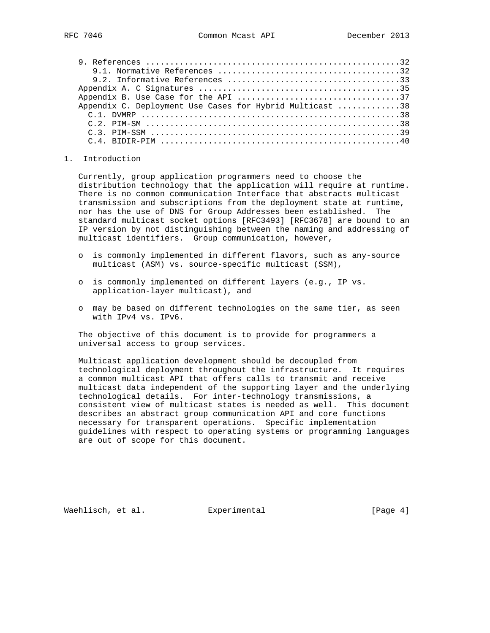| Appendix C. Deployment Use Cases for Hybrid Multicast 38                                                                                     |
|----------------------------------------------------------------------------------------------------------------------------------------------|
|                                                                                                                                              |
|                                                                                                                                              |
| $C.3.$ PIM-SSM $\ldots$ $\ldots$ $\ldots$ $\ldots$ $\ldots$ $\ldots$ $\ldots$ $\ldots$ $\ldots$ $\ldots$ $\ldots$ $\ldots$ $\ldots$ $\ldots$ |
|                                                                                                                                              |

### 1. Introduction

 Currently, group application programmers need to choose the distribution technology that the application will require at runtime. There is no common communication Interface that abstracts multicast transmission and subscriptions from the deployment state at runtime, nor has the use of DNS for Group Addresses been established. The standard multicast socket options [RFC3493] [RFC3678] are bound to an IP version by not distinguishing between the naming and addressing of multicast identifiers. Group communication, however,

- o is commonly implemented in different flavors, such as any-source multicast (ASM) vs. source-specific multicast (SSM),
- o is commonly implemented on different layers (e.g., IP vs. application-layer multicast), and
- o may be based on different technologies on the same tier, as seen with IPv4 vs. IPv6.

 The objective of this document is to provide for programmers a universal access to group services.

 Multicast application development should be decoupled from technological deployment throughout the infrastructure. It requires a common multicast API that offers calls to transmit and receive multicast data independent of the supporting layer and the underlying technological details. For inter-technology transmissions, a consistent view of multicast states is needed as well. This document describes an abstract group communication API and core functions necessary for transparent operations. Specific implementation guidelines with respect to operating systems or programming languages are out of scope for this document.

Waehlisch, et al. Experimental [Page 4]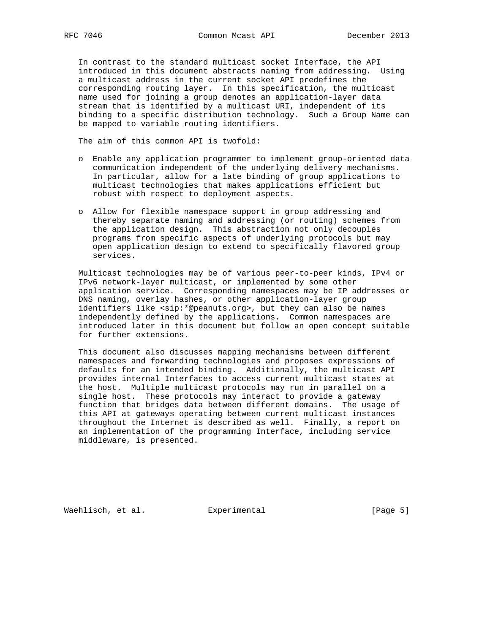In contrast to the standard multicast socket Interface, the API introduced in this document abstracts naming from addressing. Using a multicast address in the current socket API predefines the corresponding routing layer. In this specification, the multicast name used for joining a group denotes an application-layer data stream that is identified by a multicast URI, independent of its binding to a specific distribution technology. Such a Group Name can be mapped to variable routing identifiers.

The aim of this common API is twofold:

- o Enable any application programmer to implement group-oriented data communication independent of the underlying delivery mechanisms. In particular, allow for a late binding of group applications to multicast technologies that makes applications efficient but robust with respect to deployment aspects.
- o Allow for flexible namespace support in group addressing and thereby separate naming and addressing (or routing) schemes from the application design. This abstraction not only decouples programs from specific aspects of underlying protocols but may open application design to extend to specifically flavored group services.

 Multicast technologies may be of various peer-to-peer kinds, IPv4 or IPv6 network-layer multicast, or implemented by some other application service. Corresponding namespaces may be IP addresses or DNS naming, overlay hashes, or other application-layer group identifiers like <sip:\*@peanuts.org>, but they can also be names independently defined by the applications. Common namespaces are introduced later in this document but follow an open concept suitable for further extensions.

 This document also discusses mapping mechanisms between different namespaces and forwarding technologies and proposes expressions of defaults for an intended binding. Additionally, the multicast API provides internal Interfaces to access current multicast states at the host. Multiple multicast protocols may run in parallel on a single host. These protocols may interact to provide a gateway function that bridges data between different domains. The usage of this API at gateways operating between current multicast instances throughout the Internet is described as well. Finally, a report on an implementation of the programming Interface, including service middleware, is presented.

Waehlisch, et al. Experimental [Page 5]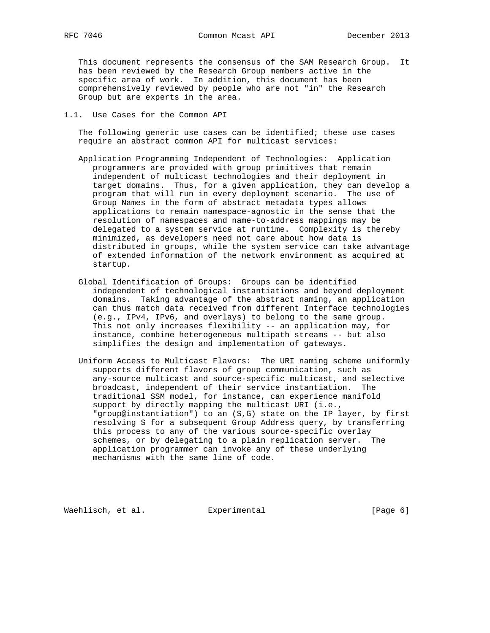This document represents the consensus of the SAM Research Group. It has been reviewed by the Research Group members active in the specific area of work. In addition, this document has been comprehensively reviewed by people who are not "in" the Research Group but are experts in the area.

## 1.1. Use Cases for the Common API

 The following generic use cases can be identified; these use cases require an abstract common API for multicast services:

- Application Programming Independent of Technologies: Application programmers are provided with group primitives that remain independent of multicast technologies and their deployment in target domains. Thus, for a given application, they can develop a program that will run in every deployment scenario. The use of Group Names in the form of abstract metadata types allows applications to remain namespace-agnostic in the sense that the resolution of namespaces and name-to-address mappings may be delegated to a system service at runtime. Complexity is thereby minimized, as developers need not care about how data is distributed in groups, while the system service can take advantage of extended information of the network environment as acquired at startup.
- Global Identification of Groups: Groups can be identified independent of technological instantiations and beyond deployment domains. Taking advantage of the abstract naming, an application can thus match data received from different Interface technologies (e.g., IPv4, IPv6, and overlays) to belong to the same group. This not only increases flexibility -- an application may, for instance, combine heterogeneous multipath streams -- but also simplifies the design and implementation of gateways.
- Uniform Access to Multicast Flavors: The URI naming scheme uniformly supports different flavors of group communication, such as any-source multicast and source-specific multicast, and selective broadcast, independent of their service instantiation. The traditional SSM model, for instance, can experience manifold support by directly mapping the multicast URI (i.e., "group@instantiation") to an (S,G) state on the IP layer, by first resolving S for a subsequent Group Address query, by transferring this process to any of the various source-specific overlay schemes, or by delegating to a plain replication server. The application programmer can invoke any of these underlying mechanisms with the same line of code.

Waehlisch, et al. Experimental [Page 6]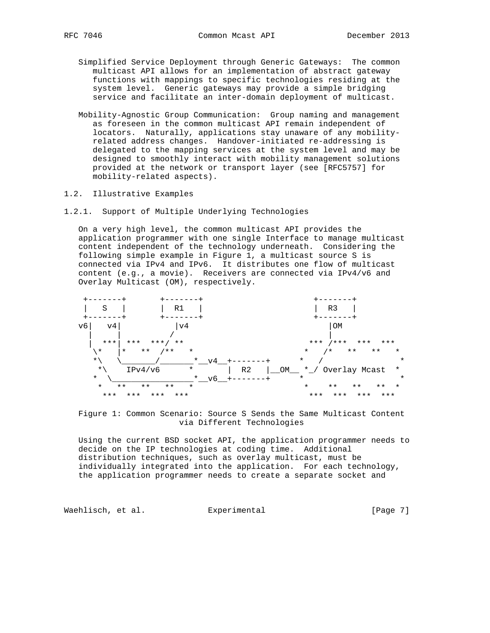- Simplified Service Deployment through Generic Gateways: The common multicast API allows for an implementation of abstract gateway functions with mappings to specific technologies residing at the system level. Generic gateways may provide a simple bridging service and facilitate an inter-domain deployment of multicast.
- Mobility-Agnostic Group Communication: Group naming and management as foreseen in the common multicast API remain independent of locators. Naturally, applications stay unaware of any mobility related address changes. Handover-initiated re-addressing is delegated to the mapping services at the system level and may be designed to smoothly interact with mobility management solutions provided at the network or transport layer (see [RFC5757] for mobility-related aspects).
- 1.2. Illustrative Examples
- 1.2.1. Support of Multiple Underlying Technologies

 On a very high level, the common multicast API provides the application programmer with one single Interface to manage multicast content independent of the technology underneath. Considering the following simple example in Figure 1, a multicast source S is connected via IPv4 and IPv6. It distributes one flow of multicast content (e.g., a movie). Receivers are connected via IPv4/v6 and Overlay Multicast (OM), respectively.



 Figure 1: Common Scenario: Source S Sends the Same Multicast Content via Different Technologies

 Using the current BSD socket API, the application programmer needs to decide on the IP technologies at coding time. Additional distribution techniques, such as overlay multicast, must be individually integrated into the application. For each technology, the application programmer needs to create a separate socket and

Waehlisch, et al. Experimental [Page 7]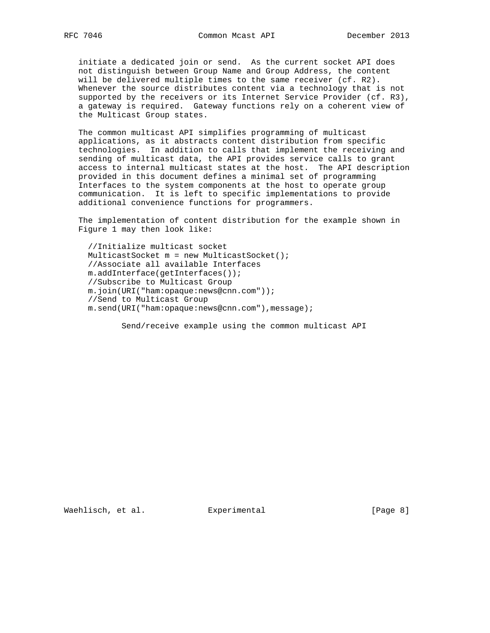initiate a dedicated join or send. As the current socket API does not distinguish between Group Name and Group Address, the content will be delivered multiple times to the same receiver (cf. R2). Whenever the source distributes content via a technology that is not supported by the receivers or its Internet Service Provider (cf. R3), a gateway is required. Gateway functions rely on a coherent view of the Multicast Group states.

 The common multicast API simplifies programming of multicast applications, as it abstracts content distribution from specific technologies. In addition to calls that implement the receiving and sending of multicast data, the API provides service calls to grant access to internal multicast states at the host. The API description provided in this document defines a minimal set of programming Interfaces to the system components at the host to operate group communication. It is left to specific implementations to provide additional convenience functions for programmers.

 The implementation of content distribution for the example shown in Figure 1 may then look like:

 //Initialize multicast socket MulticastSocket m = new MulticastSocket(); //Associate all available Interfaces m.addInterface(getInterfaces()); //Subscribe to Multicast Group m.join(URI("ham:opaque:news@cnn.com")); //Send to Multicast Group m.send(URI("ham:opaque:news@cnn.com"),message);

Send/receive example using the common multicast API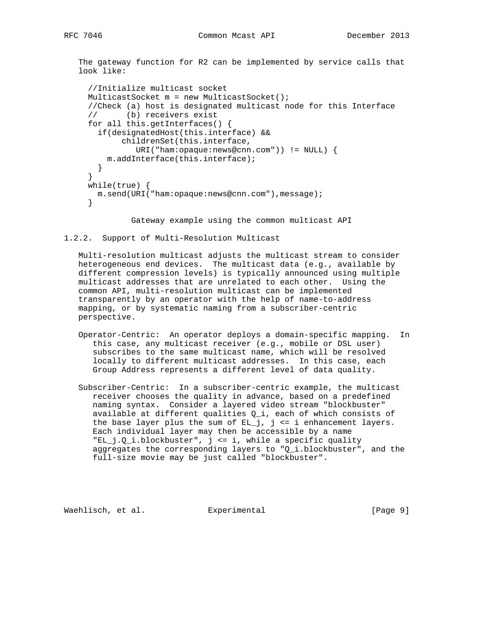The gateway function for R2 can be implemented by service calls that look like:

```
 //Initialize multicast socket
MulticastSocket m = new MulticastSocket();
//Check (a) host is designated multicast node for this Interface
// (b) receivers exist
for all this.getInterfaces() {
  if(designatedHost(this.interface) &&
       childrenSet(this.interface,
          URI("ham:opaque:news@cnn.com")) != NULL) {
    m.addInterface(this.interface);
 }
}
while(true) {
 m.send(URI("ham:opaque:news@cnn.com"),message);
}
```
Gateway example using the common multicast API

### 1.2.2. Support of Multi-Resolution Multicast

 Multi-resolution multicast adjusts the multicast stream to consider heterogeneous end devices. The multicast data (e.g., available by different compression levels) is typically announced using multiple multicast addresses that are unrelated to each other. Using the common API, multi-resolution multicast can be implemented transparently by an operator with the help of name-to-address mapping, or by systematic naming from a subscriber-centric perspective.

- Operator-Centric: An operator deploys a domain-specific mapping. In this case, any multicast receiver (e.g., mobile or DSL user) subscribes to the same multicast name, which will be resolved locally to different multicast addresses. In this case, each Group Address represents a different level of data quality.
- Subscriber-Centric: In a subscriber-centric example, the multicast receiver chooses the quality in advance, based on a predefined naming syntax. Consider a layered video stream "blockbuster" available at different qualities Q\_i, each of which consists of the base layer plus the sum of  $EL_j$ ,  $j \leq i$  enhancement layers. Each individual layer may then be accessible by a name "EL\_j.Q\_i.blockbuster", j <= i, while a specific quality aggregates the corresponding layers to "Q\_i.blockbuster", and the full-size movie may be just called "blockbuster".

Waehlisch, et al. Experimental [Page 9]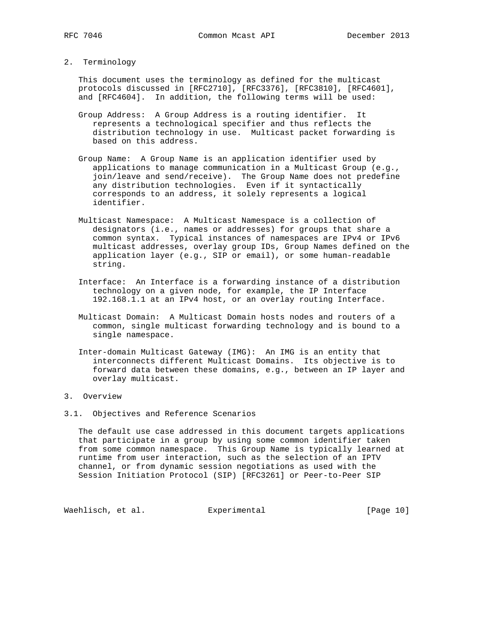2. Terminology

 This document uses the terminology as defined for the multicast protocols discussed in [RFC2710], [RFC3376], [RFC3810], [RFC4601], and [RFC4604]. In addition, the following terms will be used:

- Group Address: A Group Address is a routing identifier. It represents a technological specifier and thus reflects the distribution technology in use. Multicast packet forwarding is based on this address.
- Group Name: A Group Name is an application identifier used by applications to manage communication in a Multicast Group (e.g., join/leave and send/receive). The Group Name does not predefine any distribution technologies. Even if it syntactically corresponds to an address, it solely represents a logical identifier.
	- Multicast Namespace: A Multicast Namespace is a collection of designators (i.e., names or addresses) for groups that share a common syntax. Typical instances of namespaces are IPv4 or IPv6 multicast addresses, overlay group IDs, Group Names defined on the application layer (e.g., SIP or email), or some human-readable string.
	- Interface: An Interface is a forwarding instance of a distribution technology on a given node, for example, the IP Interface 192.168.1.1 at an IPv4 host, or an overlay routing Interface.
	- Multicast Domain: A Multicast Domain hosts nodes and routers of a common, single multicast forwarding technology and is bound to a single namespace.
	- Inter-domain Multicast Gateway (IMG): An IMG is an entity that interconnects different Multicast Domains. Its objective is to forward data between these domains, e.g., between an IP layer and overlay multicast.
- 3. Overview
- 3.1. Objectives and Reference Scenarios

 The default use case addressed in this document targets applications that participate in a group by using some common identifier taken from some common namespace. This Group Name is typically learned at runtime from user interaction, such as the selection of an IPTV channel, or from dynamic session negotiations as used with the Session Initiation Protocol (SIP) [RFC3261] or Peer-to-Peer SIP

Waehlisch, et al. Experimental [Page 10]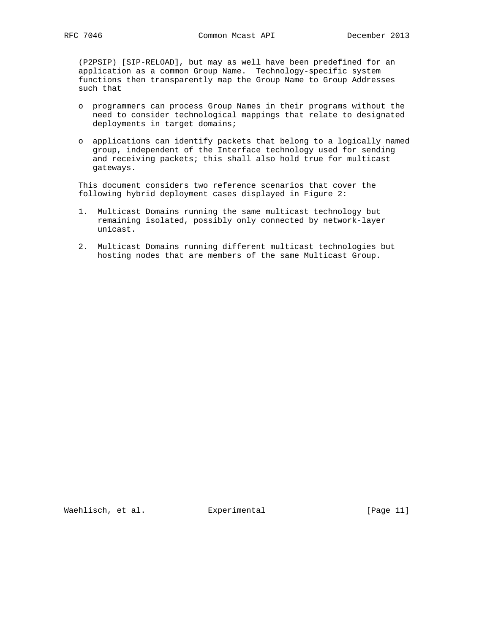(P2PSIP) [SIP-RELOAD], but may as well have been predefined for an application as a common Group Name. Technology-specific system functions then transparently map the Group Name to Group Addresses such that

- o programmers can process Group Names in their programs without the need to consider technological mappings that relate to designated deployments in target domains;
- o applications can identify packets that belong to a logically named group, independent of the Interface technology used for sending and receiving packets; this shall also hold true for multicast gateways.

 This document considers two reference scenarios that cover the following hybrid deployment cases displayed in Figure 2:

- 1. Multicast Domains running the same multicast technology but remaining isolated, possibly only connected by network-layer unicast.
- 2. Multicast Domains running different multicast technologies but hosting nodes that are members of the same Multicast Group.

Waehlisch, et al. Experimental [Page 11]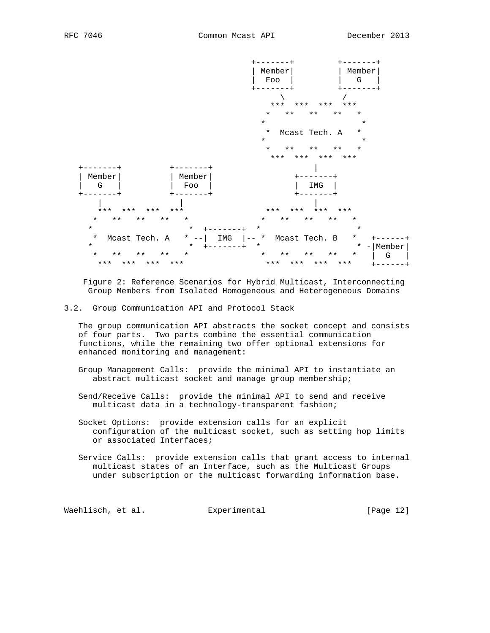

 Figure 2: Reference Scenarios for Hybrid Multicast, Interconnecting Group Members from Isolated Homogeneous and Heterogeneous Domains

3.2. Group Communication API and Protocol Stack

 The group communication API abstracts the socket concept and consists of four parts. Two parts combine the essential communication functions, while the remaining two offer optional extensions for enhanced monitoring and management:

 Group Management Calls: provide the minimal API to instantiate an abstract multicast socket and manage group membership;

 Send/Receive Calls: provide the minimal API to send and receive multicast data in a technology-transparent fashion;

 Socket Options: provide extension calls for an explicit configuration of the multicast socket, such as setting hop limits or associated Interfaces;

 Service Calls: provide extension calls that grant access to internal multicast states of an Interface, such as the Multicast Groups under subscription or the multicast forwarding information base.

Waehlisch, et al. Experimental [Page 12]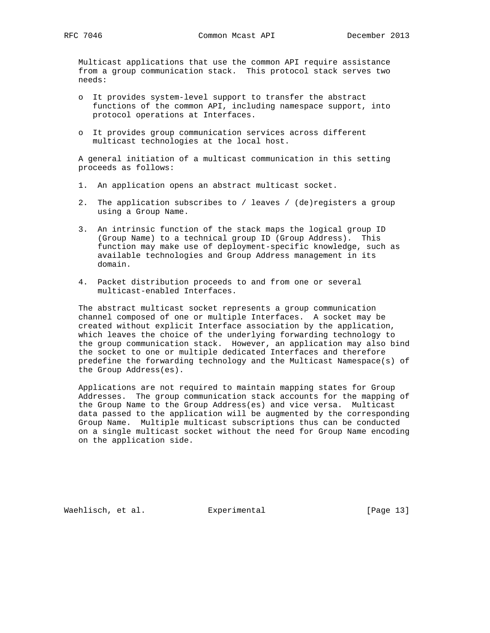Multicast applications that use the common API require assistance from a group communication stack. This protocol stack serves two needs:

- o It provides system-level support to transfer the abstract functions of the common API, including namespace support, into protocol operations at Interfaces.
- o It provides group communication services across different multicast technologies at the local host.

 A general initiation of a multicast communication in this setting proceeds as follows:

- 1. An application opens an abstract multicast socket.
- 2. The application subscribes to / leaves / (de)registers a group using a Group Name.
- 3. An intrinsic function of the stack maps the logical group ID (Group Name) to a technical group ID (Group Address). This function may make use of deployment-specific knowledge, such as available technologies and Group Address management in its domain.
- 4. Packet distribution proceeds to and from one or several multicast-enabled Interfaces.

 The abstract multicast socket represents a group communication channel composed of one or multiple Interfaces. A socket may be created without explicit Interface association by the application, which leaves the choice of the underlying forwarding technology to the group communication stack. However, an application may also bind the socket to one or multiple dedicated Interfaces and therefore predefine the forwarding technology and the Multicast Namespace(s) of the Group Address(es).

 Applications are not required to maintain mapping states for Group Addresses. The group communication stack accounts for the mapping of the Group Name to the Group Address(es) and vice versa. Multicast data passed to the application will be augmented by the corresponding Group Name. Multiple multicast subscriptions thus can be conducted on a single multicast socket without the need for Group Name encoding on the application side.

Waehlisch, et al. Experimental [Page 13]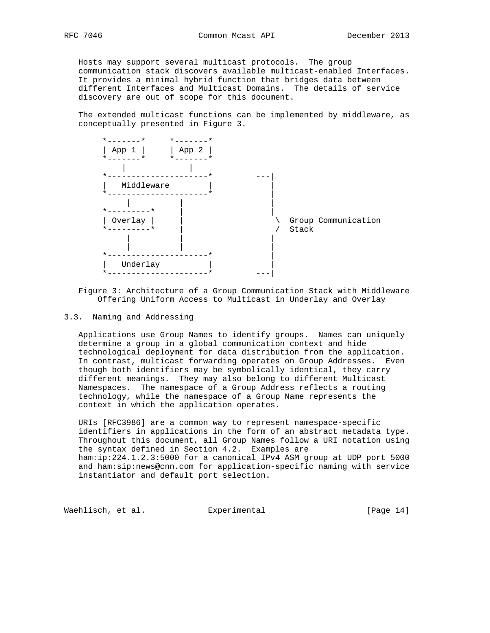Hosts may support several multicast protocols. The group communication stack discovers available multicast-enabled Interfaces. It provides a minimal hybrid function that bridges data between different Interfaces and Multicast Domains. The details of service discovery are out of scope for this document.

 The extended multicast functions can be implemented by middleware, as conceptually presented in Figure 3.



 Figure 3: Architecture of a Group Communication Stack with Middleware Offering Uniform Access to Multicast in Underlay and Overlay

3.3. Naming and Addressing

 Applications use Group Names to identify groups. Names can uniquely determine a group in a global communication context and hide technological deployment for data distribution from the application. In contrast, multicast forwarding operates on Group Addresses. Even though both identifiers may be symbolically identical, they carry different meanings. They may also belong to different Multicast Namespaces. The namespace of a Group Address reflects a routing technology, while the namespace of a Group Name represents the context in which the application operates.

 URIs [RFC3986] are a common way to represent namespace-specific identifiers in applications in the form of an abstract metadata type. Throughout this document, all Group Names follow a URI notation using the syntax defined in Section 4.2. Examples are ham:ip:224.1.2.3:5000 for a canonical IPv4 ASM group at UDP port 5000 and ham:sip:news@cnn.com for application-specific naming with service instantiator and default port selection.

Waehlisch, et al. Experimental [Page 14]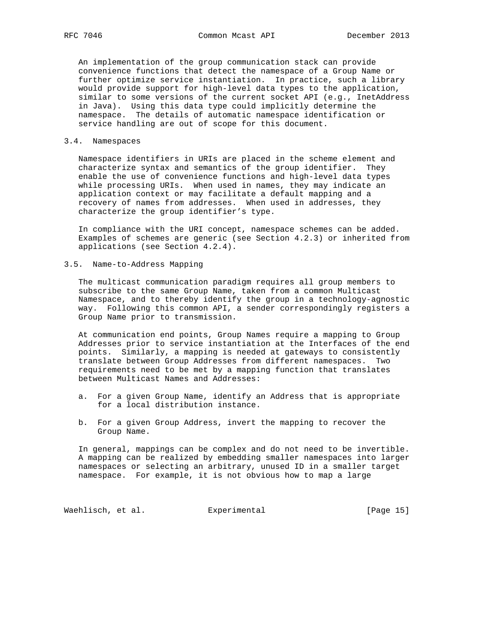An implementation of the group communication stack can provide convenience functions that detect the namespace of a Group Name or further optimize service instantiation. In practice, such a library would provide support for high-level data types to the application, similar to some versions of the current socket API (e.g., InetAddress in Java). Using this data type could implicitly determine the namespace. The details of automatic namespace identification or service handling are out of scope for this document.

## 3.4. Namespaces

 Namespace identifiers in URIs are placed in the scheme element and characterize syntax and semantics of the group identifier. They enable the use of convenience functions and high-level data types while processing URIs. When used in names, they may indicate an application context or may facilitate a default mapping and a recovery of names from addresses. When used in addresses, they characterize the group identifier's type.

 In compliance with the URI concept, namespace schemes can be added. Examples of schemes are generic (see Section 4.2.3) or inherited from applications (see Section 4.2.4).

3.5. Name-to-Address Mapping

 The multicast communication paradigm requires all group members to subscribe to the same Group Name, taken from a common Multicast Namespace, and to thereby identify the group in a technology-agnostic way. Following this common API, a sender correspondingly registers a Group Name prior to transmission.

 At communication end points, Group Names require a mapping to Group Addresses prior to service instantiation at the Interfaces of the end points. Similarly, a mapping is needed at gateways to consistently translate between Group Addresses from different namespaces. Two requirements need to be met by a mapping function that translates between Multicast Names and Addresses:

- a. For a given Group Name, identify an Address that is appropriate for a local distribution instance.
- b. For a given Group Address, invert the mapping to recover the Group Name.

 In general, mappings can be complex and do not need to be invertible. A mapping can be realized by embedding smaller namespaces into larger namespaces or selecting an arbitrary, unused ID in a smaller target namespace. For example, it is not obvious how to map a large

Waehlisch, et al. Experimental [Page 15]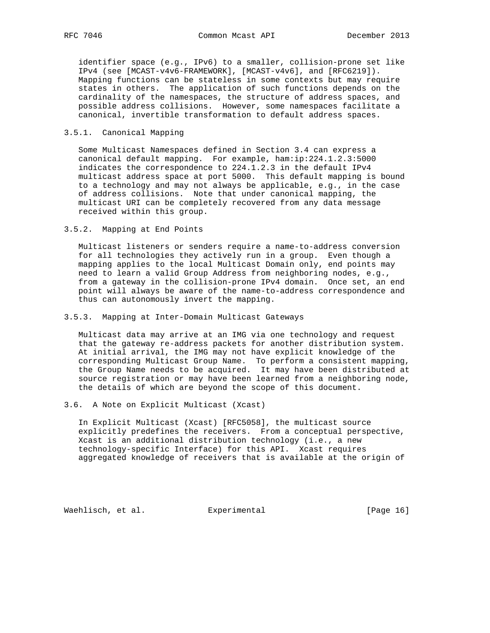identifier space (e.g., IPv6) to a smaller, collision-prone set like IPv4 (see [MCAST-v4v6-FRAMEWORK], [MCAST-v4v6], and [RFC6219]). Mapping functions can be stateless in some contexts but may require states in others. The application of such functions depends on the cardinality of the namespaces, the structure of address spaces, and possible address collisions. However, some namespaces facilitate a canonical, invertible transformation to default address spaces.

## 3.5.1. Canonical Mapping

 Some Multicast Namespaces defined in Section 3.4 can express a canonical default mapping. For example, ham:ip:224.1.2.3:5000 indicates the correspondence to 224.1.2.3 in the default IPv4 multicast address space at port 5000. This default mapping is bound to a technology and may not always be applicable, e.g., in the case of address collisions. Note that under canonical mapping, the multicast URI can be completely recovered from any data message received within this group.

3.5.2. Mapping at End Points

 Multicast listeners or senders require a name-to-address conversion for all technologies they actively run in a group. Even though a mapping applies to the local Multicast Domain only, end points may need to learn a valid Group Address from neighboring nodes, e.g., from a gateway in the collision-prone IPv4 domain. Once set, an end point will always be aware of the name-to-address correspondence and thus can autonomously invert the mapping.

### 3.5.3. Mapping at Inter-Domain Multicast Gateways

 Multicast data may arrive at an IMG via one technology and request that the gateway re-address packets for another distribution system. At initial arrival, the IMG may not have explicit knowledge of the corresponding Multicast Group Name. To perform a consistent mapping, the Group Name needs to be acquired. It may have been distributed at source registration or may have been learned from a neighboring node, the details of which are beyond the scope of this document.

3.6. A Note on Explicit Multicast (Xcast)

 In Explicit Multicast (Xcast) [RFC5058], the multicast source explicitly predefines the receivers. From a conceptual perspective, Xcast is an additional distribution technology (i.e., a new technology-specific Interface) for this API. Xcast requires aggregated knowledge of receivers that is available at the origin of

Waehlisch, et al. Experimental [Page 16]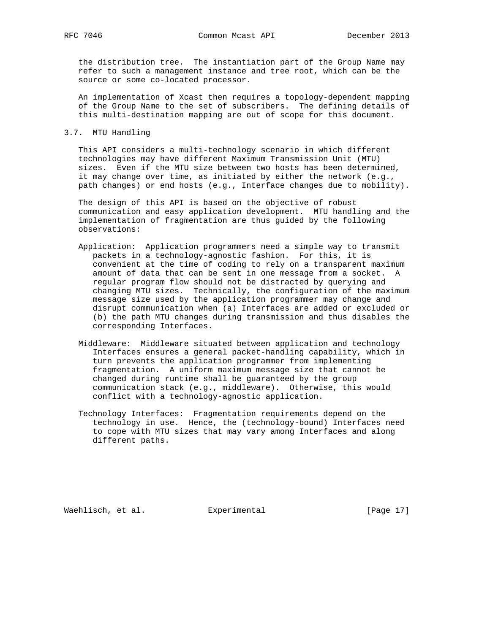the distribution tree. The instantiation part of the Group Name may refer to such a management instance and tree root, which can be the source or some co-located processor.

 An implementation of Xcast then requires a topology-dependent mapping of the Group Name to the set of subscribers. The defining details of this multi-destination mapping are out of scope for this document.

## 3.7. MTU Handling

 This API considers a multi-technology scenario in which different technologies may have different Maximum Transmission Unit (MTU) sizes. Even if the MTU size between two hosts has been determined, it may change over time, as initiated by either the network (e.g., path changes) or end hosts (e.g., Interface changes due to mobility).

 The design of this API is based on the objective of robust communication and easy application development. MTU handling and the implementation of fragmentation are thus guided by the following observations:

- Application: Application programmers need a simple way to transmit packets in a technology-agnostic fashion. For this, it is convenient at the time of coding to rely on a transparent maximum amount of data that can be sent in one message from a socket. A regular program flow should not be distracted by querying and changing MTU sizes. Technically, the configuration of the maximum message size used by the application programmer may change and disrupt communication when (a) Interfaces are added or excluded or (b) the path MTU changes during transmission and thus disables the corresponding Interfaces.
- Middleware: Middleware situated between application and technology Interfaces ensures a general packet-handling capability, which in turn prevents the application programmer from implementing fragmentation. A uniform maximum message size that cannot be changed during runtime shall be guaranteed by the group communication stack (e.g., middleware). Otherwise, this would conflict with a technology-agnostic application.
- Technology Interfaces: Fragmentation requirements depend on the technology in use. Hence, the (technology-bound) Interfaces need to cope with MTU sizes that may vary among Interfaces and along different paths.

Waehlisch, et al. Experimental [Page 17]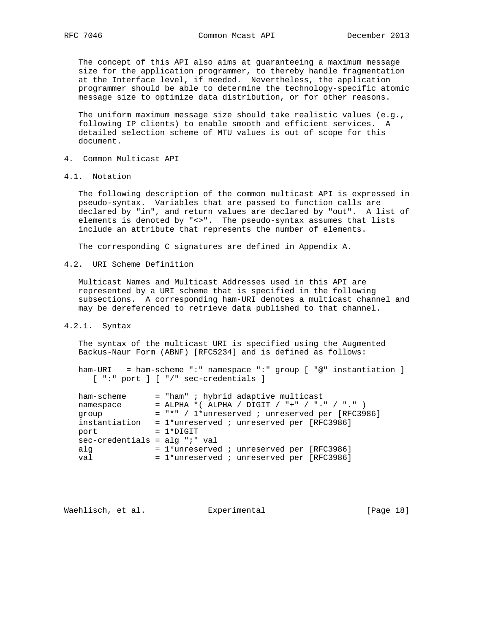The concept of this API also aims at guaranteeing a maximum message size for the application programmer, to thereby handle fragmentation at the Interface level, if needed. Nevertheless, the application programmer should be able to determine the technology-specific atomic message size to optimize data distribution, or for other reasons.

 The uniform maximum message size should take realistic values (e.g., following IP clients) to enable smooth and efficient services. A detailed selection scheme of MTU values is out of scope for this document.

- 4. Common Multicast API
- 4.1. Notation

 The following description of the common multicast API is expressed in pseudo-syntax. Variables that are passed to function calls are declared by "in", and return values are declared by "out". A list of elements is denoted by "<>". The pseudo-syntax assumes that lists include an attribute that represents the number of elements.

The corresponding C signatures are defined in Appendix A.

4.2. URI Scheme Definition

 Multicast Names and Multicast Addresses used in this API are represented by a URI scheme that is specified in the following subsections. A corresponding ham-URI denotes a multicast channel and may be dereferenced to retrieve data published to that channel.

4.2.1. Syntax

 The syntax of the multicast URI is specified using the Augmented Backus-Naur Form (ABNF) [RFC5234] and is defined as follows:

 ham-URI = ham-scheme ":" namespace ":" group [ "@" instantiation ] [ ":" port ] [ "/" sec-credentials ]

| ham-scheme                      | $=$ "ham" ; hybrid adaptive multicast             |
|---------------------------------|---------------------------------------------------|
| namespace                       | = ALPHA *( ALPHA / DIGIT / "+" / "-" / "." )      |
| group                           | $=$ "*" / 1*unreserved ; unreserved per [RFC3986] |
| instantiation                   | $= 1*$ unreserved ; unreserved per [RFC3986]      |
| port                            | $= 1*DiffIT$                                      |
| $sec-credentials = alg "i" val$ |                                                   |
| alq                             | $= 1*$ unreserved ; unreserved per [RFC3986]      |
| val                             | $= 1*$ unreserved ; unreserved per [RFC3986]      |

Waehlisch, et al. Experimental [Page 18]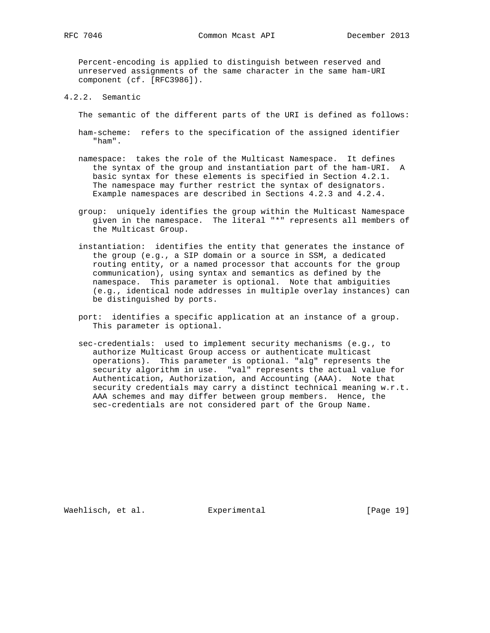Percent-encoding is applied to distinguish between reserved and unreserved assignments of the same character in the same ham-URI component (cf. [RFC3986]).

4.2.2. Semantic

The semantic of the different parts of the URI is defined as follows:

- ham-scheme: refers to the specification of the assigned identifier "ham".
- namespace: takes the role of the Multicast Namespace. It defines the syntax of the group and instantiation part of the ham-URI. A basic syntax for these elements is specified in Section 4.2.1. The namespace may further restrict the syntax of designators. Example namespaces are described in Sections 4.2.3 and 4.2.4.
- group: uniquely identifies the group within the Multicast Namespace given in the namespace. The literal "\*" represents all members of the Multicast Group.
- instantiation: identifies the entity that generates the instance of the group (e.g., a SIP domain or a source in SSM, a dedicated routing entity, or a named processor that accounts for the group communication), using syntax and semantics as defined by the namespace. This parameter is optional. Note that ambiguities (e.g., identical node addresses in multiple overlay instances) can be distinguished by ports.
- port: identifies a specific application at an instance of a group. This parameter is optional.
- sec-credentials: used to implement security mechanisms (e.g., to authorize Multicast Group access or authenticate multicast operations). This parameter is optional. "alg" represents the security algorithm in use. "val" represents the actual value for Authentication, Authorization, and Accounting (AAA). Note that security credentials may carry a distinct technical meaning w.r.t. AAA schemes and may differ between group members. Hence, the sec-credentials are not considered part of the Group Name.

Waehlisch, et al. Experimental [Page 19]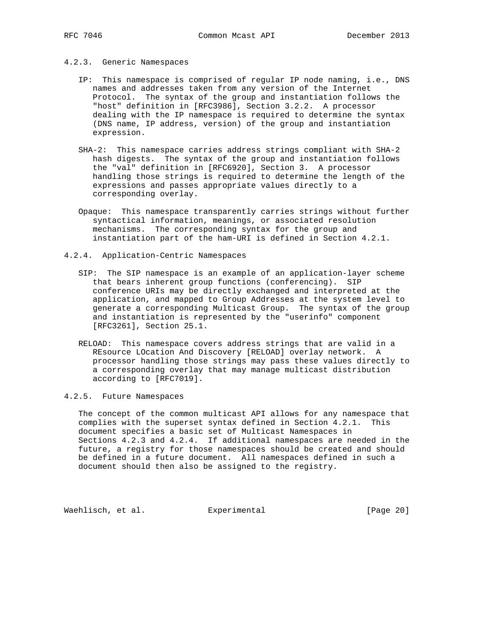# 4.2.3. Generic Namespaces

- IP: This namespace is comprised of regular IP node naming, i.e., DNS names and addresses taken from any version of the Internet Protocol. The syntax of the group and instantiation follows the "host" definition in [RFC3986], Section 3.2.2. A processor dealing with the IP namespace is required to determine the syntax (DNS name, IP address, version) of the group and instantiation expression.
- SHA-2: This namespace carries address strings compliant with SHA-2 hash digests. The syntax of the group and instantiation follows the "val" definition in [RFC6920], Section 3. A processor handling those strings is required to determine the length of the expressions and passes appropriate values directly to a corresponding overlay.
- Opaque: This namespace transparently carries strings without further syntactical information, meanings, or associated resolution mechanisms. The corresponding syntax for the group and instantiation part of the ham-URI is defined in Section 4.2.1.
- 4.2.4. Application-Centric Namespaces
	- SIP: The SIP namespace is an example of an application-layer scheme that bears inherent group functions (conferencing). SIP conference URIs may be directly exchanged and interpreted at the application, and mapped to Group Addresses at the system level to generate a corresponding Multicast Group. The syntax of the group and instantiation is represented by the "userinfo" component [RFC3261], Section 25.1.
	- RELOAD: This namespace covers address strings that are valid in a REsource LOcation And Discovery [RELOAD] overlay network. A processor handling those strings may pass these values directly to a corresponding overlay that may manage multicast distribution according to [RFC7019].

#### 4.2.5. Future Namespaces

 The concept of the common multicast API allows for any namespace that complies with the superset syntax defined in Section 4.2.1. This document specifies a basic set of Multicast Namespaces in Sections 4.2.3 and 4.2.4. If additional namespaces are needed in the future, a registry for those namespaces should be created and should be defined in a future document. All namespaces defined in such a document should then also be assigned to the registry.

Waehlisch, et al. Experimental [Page 20]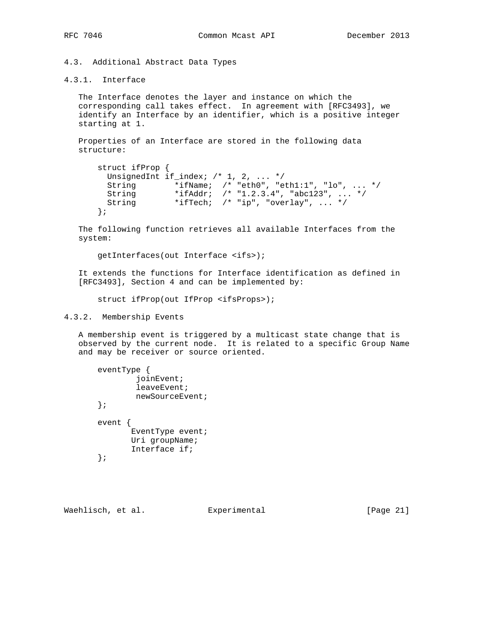4.3. Additional Abstract Data Types

# 4.3.1. Interface

 The Interface denotes the layer and instance on which the corresponding call takes effect. In agreement with [RFC3493], we identify an Interface by an identifier, which is a positive integer starting at 1.

 Properties of an Interface are stored in the following data structure:

```
 struct ifProp {
UnsignedInt if_index; /* 1, 2, ... */
String *ifName; /* "eth0", "eth1:1", "lo", ... */
String *ifAddr; /* "1.2.3.4", "abc123", ... */
       String *ifTech; /* "ip", "overlay", ... */
     };
```
 The following function retrieves all available Interfaces from the system:

getInterfaces(out Interface <ifs>);

 It extends the functions for Interface identification as defined in [RFC3493], Section 4 and can be implemented by:

struct ifProp(out IfProp <ifsProps>);

# 4.3.2. Membership Events

 A membership event is triggered by a multicast state change that is observed by the current node. It is related to a specific Group Name and may be receiver or source oriented.

| eventType |                  |
|-----------|------------------|
|           | ioinEvent;       |
|           | leaveEvent;      |
|           | newSourceEvent;  |
|           |                  |
| event     |                  |
|           | EventType event; |
|           | Uri groupName;   |
|           | Interface if;    |
|           |                  |

Waehlisch, et al. Experimental [Page 21]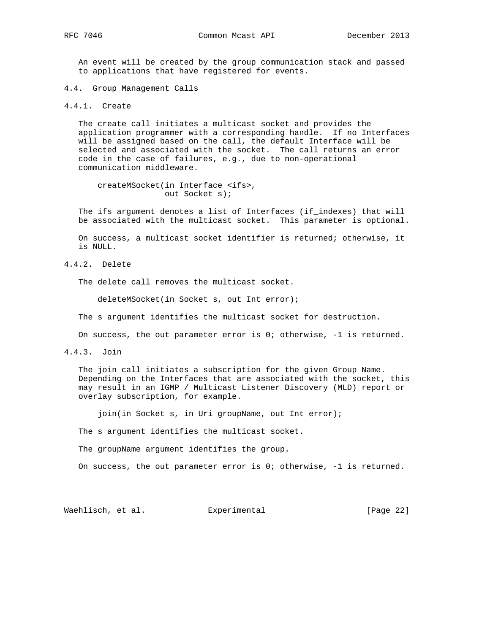An event will be created by the group communication stack and passed to applications that have registered for events.

4.4. Group Management Calls

4.4.1. Create

 The create call initiates a multicast socket and provides the application programmer with a corresponding handle. If no Interfaces will be assigned based on the call, the default Interface will be selected and associated with the socket. The call returns an error code in the case of failures, e.g., due to non-operational communication middleware.

 createMSocket(in Interface <ifs>, out Socket s);

 The ifs argument denotes a list of Interfaces (if\_indexes) that will be associated with the multicast socket. This parameter is optional.

 On success, a multicast socket identifier is returned; otherwise, it is NULL.

4.4.2. Delete

The delete call removes the multicast socket.

deleteMSocket(in Socket s, out Int error);

The s argument identifies the multicast socket for destruction.

On success, the out parameter error is 0; otherwise, -1 is returned.

4.4.3. Join

 The join call initiates a subscription for the given Group Name. Depending on the Interfaces that are associated with the socket, this may result in an IGMP / Multicast Listener Discovery (MLD) report or overlay subscription, for example.

join(in Socket s, in Uri groupName, out Int error);

The s argument identifies the multicast socket.

The groupName argument identifies the group.

On success, the out parameter error is 0; otherwise, -1 is returned.

Waehlisch, et al. Experimental [Page 22]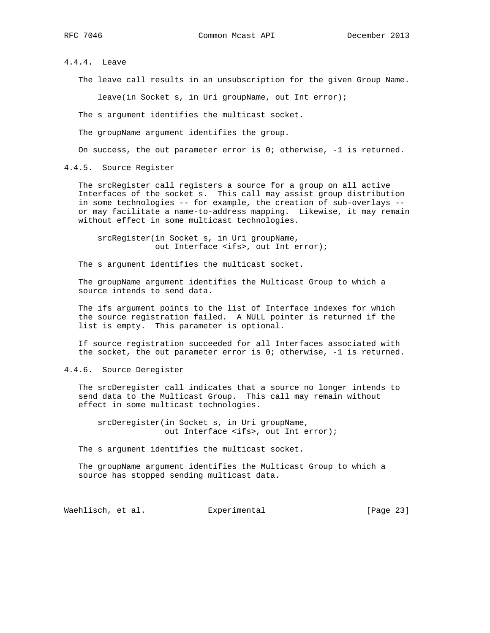4.4.4. Leave

The leave call results in an unsubscription for the given Group Name.

leave(in Socket s, in Uri groupName, out Int error);

The s argument identifies the multicast socket.

The groupName argument identifies the group.

On success, the out parameter error is 0; otherwise, -1 is returned.

4.4.5. Source Register

 The srcRegister call registers a source for a group on all active Interfaces of the socket s. This call may assist group distribution in some technologies -- for example, the creation of sub-overlays - or may facilitate a name-to-address mapping. Likewise, it may remain without effect in some multicast technologies.

 srcRegister(in Socket s, in Uri groupName, out Interface <ifs>, out Int error);

The s argument identifies the multicast socket.

 The groupName argument identifies the Multicast Group to which a source intends to send data.

 The ifs argument points to the list of Interface indexes for which the source registration failed. A NULL pointer is returned if the list is empty. This parameter is optional.

 If source registration succeeded for all Interfaces associated with the socket, the out parameter error is 0; otherwise, -1 is returned.

4.4.6. Source Deregister

 The srcDeregister call indicates that a source no longer intends to send data to the Multicast Group. This call may remain without effect in some multicast technologies.

 srcDeregister(in Socket s, in Uri groupName, out Interface <ifs>, out Int error);

The s argument identifies the multicast socket.

 The groupName argument identifies the Multicast Group to which a source has stopped sending multicast data.

Waehlisch, et al. Experimental [Page 23]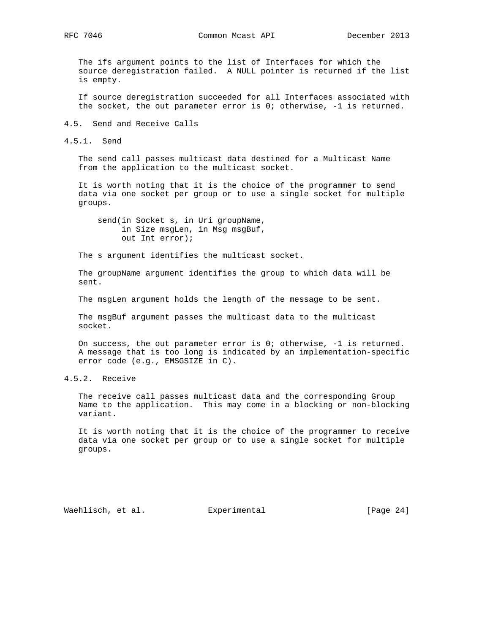The ifs argument points to the list of Interfaces for which the source deregistration failed. A NULL pointer is returned if the list is empty.

 If source deregistration succeeded for all Interfaces associated with the socket, the out parameter error is 0; otherwise, -1 is returned.

4.5. Send and Receive Calls

4.5.1. Send

 The send call passes multicast data destined for a Multicast Name from the application to the multicast socket.

 It is worth noting that it is the choice of the programmer to send data via one socket per group or to use a single socket for multiple groups.

 send(in Socket s, in Uri groupName, in Size msgLen, in Msg msgBuf, out Int error);

The s argument identifies the multicast socket.

 The groupName argument identifies the group to which data will be sent.

The msgLen argument holds the length of the message to be sent.

 The msgBuf argument passes the multicast data to the multicast socket.

 On success, the out parameter error is 0; otherwise, -1 is returned. A message that is too long is indicated by an implementation-specific error code (e.g., EMSGSIZE in C).

4.5.2. Receive

 The receive call passes multicast data and the corresponding Group Name to the application. This may come in a blocking or non-blocking variant.

 It is worth noting that it is the choice of the programmer to receive data via one socket per group or to use a single socket for multiple groups.

Waehlisch, et al. Experimental [Page 24]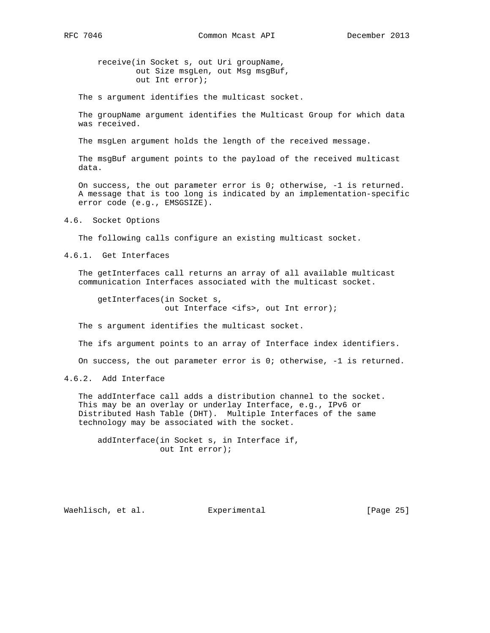receive(in Socket s, out Uri groupName, out Size msgLen, out Msg msgBuf, out Int error);

The s argument identifies the multicast socket.

 The groupName argument identifies the Multicast Group for which data was received.

The msgLen argument holds the length of the received message.

 The msgBuf argument points to the payload of the received multicast data.

 On success, the out parameter error is 0; otherwise, -1 is returned. A message that is too long is indicated by an implementation-specific error code (e.g., EMSGSIZE).

4.6. Socket Options

The following calls configure an existing multicast socket.

4.6.1. Get Interfaces

 The getInterfaces call returns an array of all available multicast communication Interfaces associated with the multicast socket.

 getInterfaces(in Socket s, out Interface <ifs>, out Int error);

The s argument identifies the multicast socket.

The ifs argument points to an array of Interface index identifiers.

On success, the out parameter error is 0; otherwise, -1 is returned.

4.6.2. Add Interface

 The addInterface call adds a distribution channel to the socket. This may be an overlay or underlay Interface, e.g., IPv6 or Distributed Hash Table (DHT). Multiple Interfaces of the same technology may be associated with the socket.

 addInterface(in Socket s, in Interface if, out Int error);

Waehlisch, et al. Experimental [Page 25]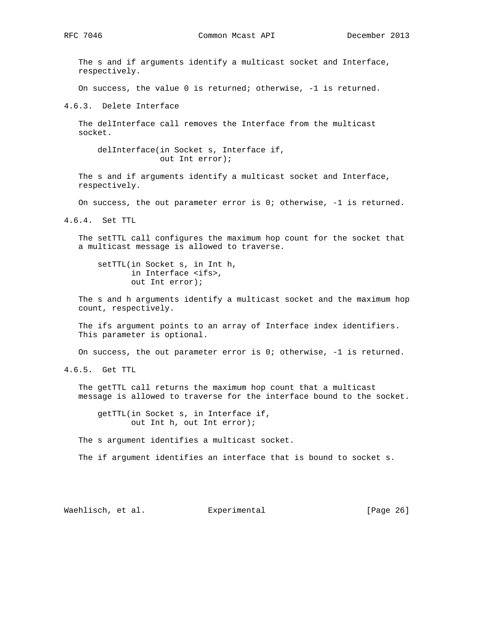The s and if arguments identify a multicast socket and Interface, respectively.

On success, the value 0 is returned; otherwise, -1 is returned.

4.6.3. Delete Interface

 The delInterface call removes the Interface from the multicast socket.

 delInterface(in Socket s, Interface if, out Int error);

 The s and if arguments identify a multicast socket and Interface, respectively.

On success, the out parameter error is 0; otherwise, -1 is returned.

4.6.4. Set TTL

 The setTTL call configures the maximum hop count for the socket that a multicast message is allowed to traverse.

 setTTL(in Socket s, in Int h, in Interface <ifs>, out Int error);

 The s and h arguments identify a multicast socket and the maximum hop count, respectively.

 The ifs argument points to an array of Interface index identifiers. This parameter is optional.

On success, the out parameter error is 0; otherwise, -1 is returned.

4.6.5. Get TTL

 The getTTL call returns the maximum hop count that a multicast message is allowed to traverse for the interface bound to the socket.

 getTTL(in Socket s, in Interface if, out Int h, out Int error);

The s argument identifies a multicast socket.

The if argument identifies an interface that is bound to socket s.

Waehlisch, et al. Experimental [Page 26]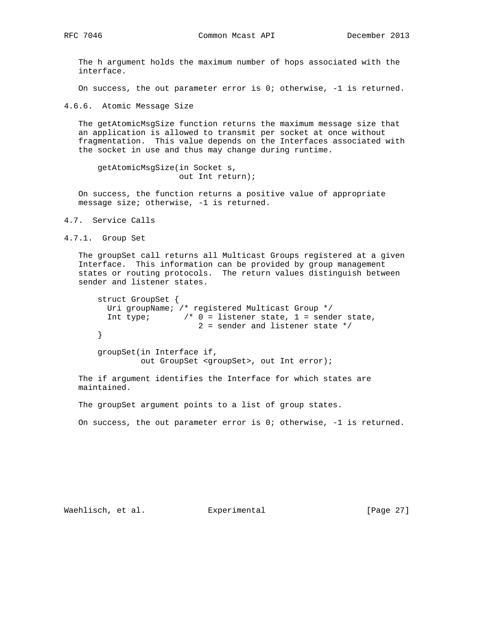The h argument holds the maximum number of hops associated with the interface.

On success, the out parameter error is 0; otherwise, -1 is returned.

4.6.6. Atomic Message Size

 The getAtomicMsgSize function returns the maximum message size that an application is allowed to transmit per socket at once without fragmentation. This value depends on the Interfaces associated with the socket in use and thus may change during runtime.

 getAtomicMsgSize(in Socket s, out Int return);

 On success, the function returns a positive value of appropriate message size; otherwise, -1 is returned.

4.7. Service Calls

4.7.1. Group Set

 The groupSet call returns all Multicast Groups registered at a given Interface. This information can be provided by group management states or routing protocols. The return values distinguish between sender and listener states.

```
 struct GroupSet {
 Uri groupName; /* registered Multicast Group */
 Int type; /* 0 = listener state, 1 = sender state,
                     2 = sender and listener state */
}
groupSet(in Interface if,
        out GroupSet <groupSet>, out Int error);
```
 The if argument identifies the Interface for which states are maintained.

The groupSet argument points to a list of group states.

On success, the out parameter error is  $0$ ; otherwise,  $-1$  is returned.

Waehlisch, et al. Experimental [Page 27]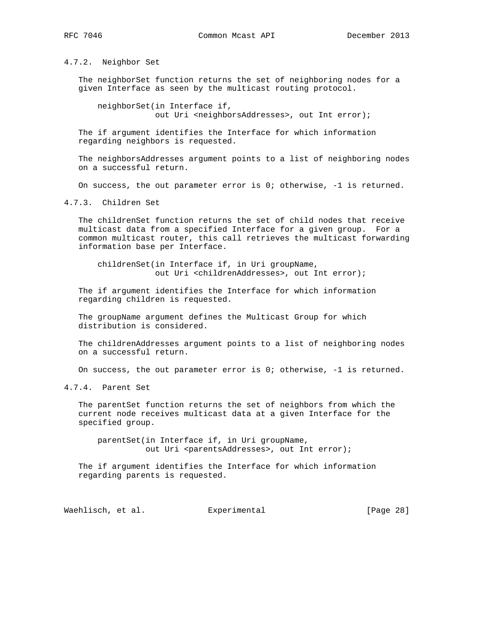4.7.2. Neighbor Set

 The neighborSet function returns the set of neighboring nodes for a given Interface as seen by the multicast routing protocol.

 neighborSet(in Interface if, out Uri <neighborsAddresses>, out Int error);

 The if argument identifies the Interface for which information regarding neighbors is requested.

 The neighborsAddresses argument points to a list of neighboring nodes on a successful return.

On success, the out parameter error is 0; otherwise, -1 is returned.

4.7.3. Children Set

 The childrenSet function returns the set of child nodes that receive multicast data from a specified Interface for a given group. For a common multicast router, this call retrieves the multicast forwarding information base per Interface.

 childrenSet(in Interface if, in Uri groupName, out Uri <childrenAddresses>, out Int error);

 The if argument identifies the Interface for which information regarding children is requested.

 The groupName argument defines the Multicast Group for which distribution is considered.

 The childrenAddresses argument points to a list of neighboring nodes on a successful return.

On success, the out parameter error is 0; otherwise, -1 is returned.

4.7.4. Parent Set

 The parentSet function returns the set of neighbors from which the current node receives multicast data at a given Interface for the specified group.

 parentSet(in Interface if, in Uri groupName, out Uri <parentsAddresses>, out Int error);

 The if argument identifies the Interface for which information regarding parents is requested.

Waehlisch, et al. Experimental [Page 28]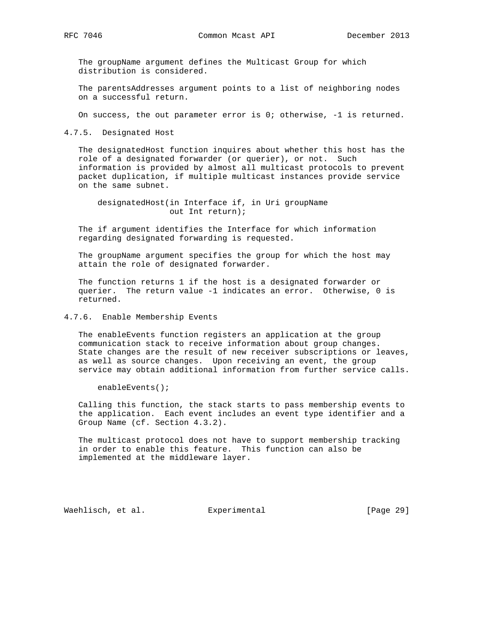The groupName argument defines the Multicast Group for which distribution is considered.

 The parentsAddresses argument points to a list of neighboring nodes on a successful return.

On success, the out parameter error is 0; otherwise, -1 is returned.

4.7.5. Designated Host

 The designatedHost function inquires about whether this host has the role of a designated forwarder (or querier), or not. Such information is provided by almost all multicast protocols to prevent packet duplication, if multiple multicast instances provide service on the same subnet.

 designatedHost(in Interface if, in Uri groupName out Int return);

 The if argument identifies the Interface for which information regarding designated forwarding is requested.

 The groupName argument specifies the group for which the host may attain the role of designated forwarder.

 The function returns 1 if the host is a designated forwarder or querier. The return value -1 indicates an error. Otherwise, 0 is returned.

4.7.6. Enable Membership Events

 The enableEvents function registers an application at the group communication stack to receive information about group changes. State changes are the result of new receiver subscriptions or leaves, as well as source changes. Upon receiving an event, the group service may obtain additional information from further service calls.

enableEvents();

 Calling this function, the stack starts to pass membership events to the application. Each event includes an event type identifier and a Group Name (cf. Section 4.3.2).

 The multicast protocol does not have to support membership tracking in order to enable this feature. This function can also be implemented at the middleware layer.

Waehlisch, et al. Experimental [Page 29]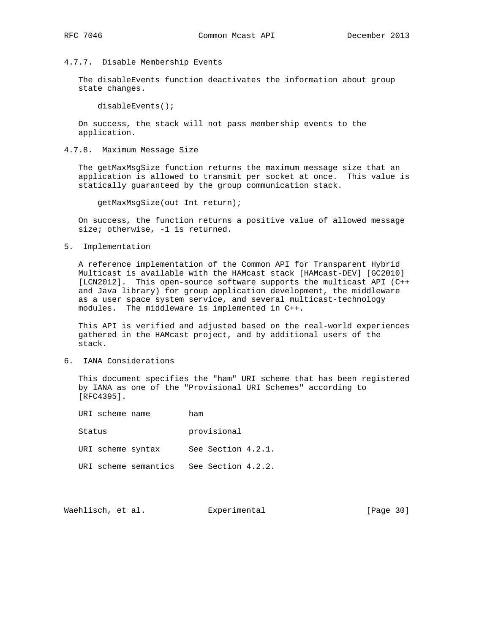## 4.7.7. Disable Membership Events

 The disableEvents function deactivates the information about group state changes.

disableEvents();

 On success, the stack will not pass membership events to the application.

4.7.8. Maximum Message Size

 The getMaxMsgSize function returns the maximum message size that an application is allowed to transmit per socket at once. This value is statically guaranteed by the group communication stack.

getMaxMsgSize(out Int return);

 On success, the function returns a positive value of allowed message size; otherwise, -1 is returned.

5. Implementation

 A reference implementation of the Common API for Transparent Hybrid Multicast is available with the HAMcast stack [HAMcast-DEV] [GC2010] [LCN2012]. This open-source software supports the multicast API (C++ and Java library) for group application development, the middleware as a user space system service, and several multicast-technology modules. The middleware is implemented in C++.

 This API is verified and adjusted based on the real-world experiences gathered in the HAMcast project, and by additional users of the stack.

6. IANA Considerations

 This document specifies the "ham" URI scheme that has been registered by IANA as one of the "Provisional URI Schemes" according to [RFC4395].

| IRT scheme name      | ham |                    |  |
|----------------------|-----|--------------------|--|
| Status               |     | provisional        |  |
| URI scheme syntax    |     | See Section 4.2.1. |  |
| URI scheme semantics |     | See Section 4.2.2. |  |

Waehlisch, et al. Experimental [Page 30]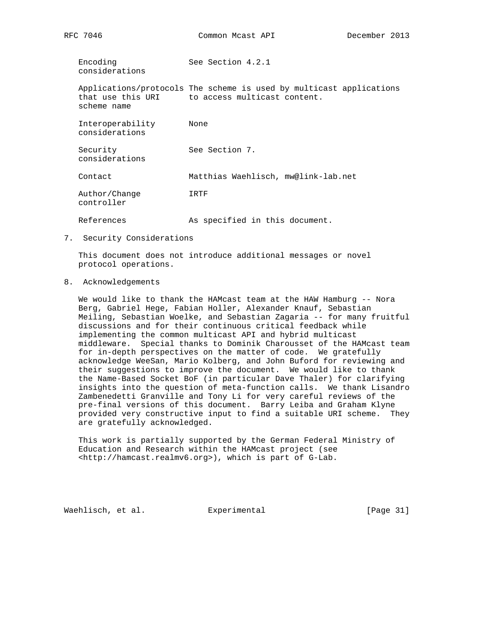Encoding See Section 4.2.1 considerations

 Applications/protocols The scheme is used by multicast applications that use this URI to access multicast content. scheme name

 Interoperability None considerations Security See Section 7. considerations Contact Matthias Waehlisch, mw@link-lab.net Author/Change IRTF controller References As specified in this document.

7. Security Considerations

 This document does not introduce additional messages or novel protocol operations.

8. Acknowledgements

We would like to thank the HAMcast team at the HAW Hamburg -- Nora Berg, Gabriel Hege, Fabian Holler, Alexander Knauf, Sebastian Meiling, Sebastian Woelke, and Sebastian Zagaria -- for many fruitful discussions and for their continuous critical feedback while implementing the common multicast API and hybrid multicast middleware. Special thanks to Dominik Charousset of the HAMcast team for in-depth perspectives on the matter of code. We gratefully acknowledge WeeSan, Mario Kolberg, and John Buford for reviewing and their suggestions to improve the document. We would like to thank the Name-Based Socket BoF (in particular Dave Thaler) for clarifying insights into the question of meta-function calls. We thank Lisandro Zambenedetti Granville and Tony Li for very careful reviews of the pre-final versions of this document. Barry Leiba and Graham Klyne provided very constructive input to find a suitable URI scheme. They are gratefully acknowledged.

 This work is partially supported by the German Federal Ministry of Education and Research within the HAMcast project (see <http://hamcast.realmv6.org>), which is part of G-Lab.

Waehlisch, et al. Experimental [Page 31]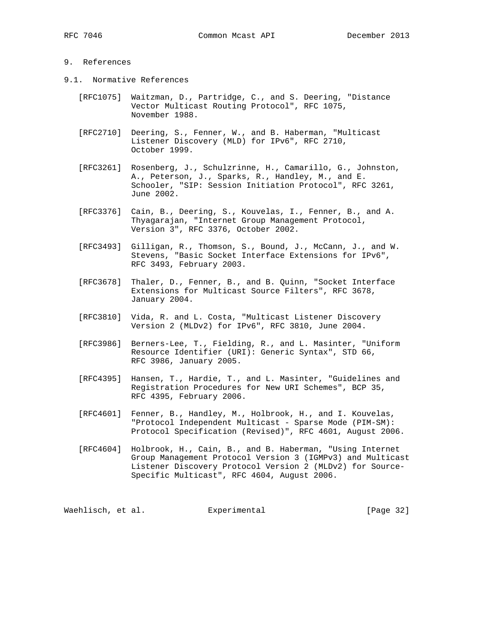# 9. References

- 9.1. Normative References
	- [RFC1075] Waitzman, D., Partridge, C., and S. Deering, "Distance Vector Multicast Routing Protocol", RFC 1075, November 1988.
	- [RFC2710] Deering, S., Fenner, W., and B. Haberman, "Multicast Listener Discovery (MLD) for IPv6", RFC 2710, October 1999.
	- [RFC3261] Rosenberg, J., Schulzrinne, H., Camarillo, G., Johnston, A., Peterson, J., Sparks, R., Handley, M., and E. Schooler, "SIP: Session Initiation Protocol", RFC 3261, June 2002.
	- [RFC3376] Cain, B., Deering, S., Kouvelas, I., Fenner, B., and A. Thyagarajan, "Internet Group Management Protocol, Version 3", RFC 3376, October 2002.
	- [RFC3493] Gilligan, R., Thomson, S., Bound, J., McCann, J., and W. Stevens, "Basic Socket Interface Extensions for IPv6", RFC 3493, February 2003.
	- [RFC3678] Thaler, D., Fenner, B., and B. Quinn, "Socket Interface Extensions for Multicast Source Filters", RFC 3678, January 2004.
	- [RFC3810] Vida, R. and L. Costa, "Multicast Listener Discovery Version 2 (MLDv2) for IPv6", RFC 3810, June 2004.
	- [RFC3986] Berners-Lee, T., Fielding, R., and L. Masinter, "Uniform Resource Identifier (URI): Generic Syntax", STD 66, RFC 3986, January 2005.
	- [RFC4395] Hansen, T., Hardie, T., and L. Masinter, "Guidelines and Registration Procedures for New URI Schemes", BCP 35, RFC 4395, February 2006.
	- [RFC4601] Fenner, B., Handley, M., Holbrook, H., and I. Kouvelas, "Protocol Independent Multicast - Sparse Mode (PIM-SM): Protocol Specification (Revised)", RFC 4601, August 2006.
	- [RFC4604] Holbrook, H., Cain, B., and B. Haberman, "Using Internet Group Management Protocol Version 3 (IGMPv3) and Multicast Listener Discovery Protocol Version 2 (MLDv2) for Source- Specific Multicast", RFC 4604, August 2006.

Waehlisch, et al. Experimental [Page 32]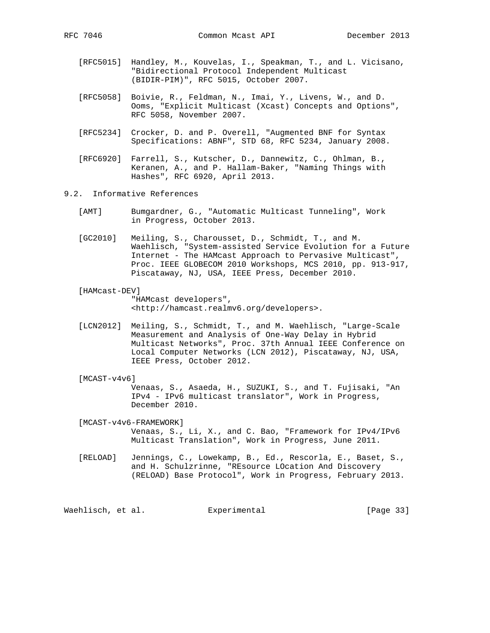- [RFC5015] Handley, M., Kouvelas, I., Speakman, T., and L. Vicisano, "Bidirectional Protocol Independent Multicast (BIDIR-PIM)", RFC 5015, October 2007.
- [RFC5058] Boivie, R., Feldman, N., Imai, Y., Livens, W., and D. Ooms, "Explicit Multicast (Xcast) Concepts and Options", RFC 5058, November 2007.
- [RFC5234] Crocker, D. and P. Overell, "Augmented BNF for Syntax Specifications: ABNF", STD 68, RFC 5234, January 2008.
- [RFC6920] Farrell, S., Kutscher, D., Dannewitz, C., Ohlman, B., Keranen, A., and P. Hallam-Baker, "Naming Things with Hashes", RFC 6920, April 2013.
- 9.2. Informative References
	- [AMT] Bumgardner, G., "Automatic Multicast Tunneling", Work in Progress, October 2013.
	- [GC2010] Meiling, S., Charousset, D., Schmidt, T., and M. Waehlisch, "System-assisted Service Evolution for a Future Internet - The HAMcast Approach to Pervasive Multicast", Proc. IEEE GLOBECOM 2010 Workshops, MCS 2010, pp. 913-917, Piscataway, NJ, USA, IEEE Press, December 2010.
	- [HAMcast-DEV]

 "HAMcast developers", <http://hamcast.realmv6.org/developers>.

- [LCN2012] Meiling, S., Schmidt, T., and M. Waehlisch, "Large-Scale Measurement and Analysis of One-Way Delay in Hybrid Multicast Networks", Proc. 37th Annual IEEE Conference on Local Computer Networks (LCN 2012), Piscataway, NJ, USA, IEEE Press, October 2012.
- [MCAST-v4v6]

 Venaas, S., Asaeda, H., SUZUKI, S., and T. Fujisaki, "An IPv4 - IPv6 multicast translator", Work in Progress, December 2010.

 [MCAST-v4v6-FRAMEWORK] Venaas, S., Li, X., and C. Bao, "Framework for IPv4/IPv6 Multicast Translation", Work in Progress, June 2011.

 [RELOAD] Jennings, C., Lowekamp, B., Ed., Rescorla, E., Baset, S., and H. Schulzrinne, "REsource LOcation And Discovery (RELOAD) Base Protocol", Work in Progress, February 2013.

Waehlisch, et al. Experimental [Page 33]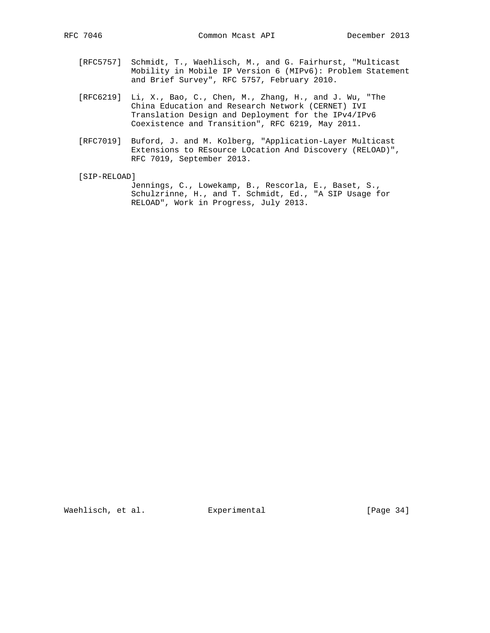- [RFC5757] Schmidt, T., Waehlisch, M., and G. Fairhurst, "Multicast Mobility in Mobile IP Version 6 (MIPv6): Problem Statement and Brief Survey", RFC 5757, February 2010.
- [RFC6219] Li, X., Bao, C., Chen, M., Zhang, H., and J. Wu, "The China Education and Research Network (CERNET) IVI Translation Design and Deployment for the IPv4/IPv6 Coexistence and Transition", RFC 6219, May 2011.
- [RFC7019] Buford, J. and M. Kolberg, "Application-Layer Multicast Extensions to REsource LOcation And Discovery (RELOAD)", RFC 7019, September 2013.
- [SIP-RELOAD]

 Jennings, C., Lowekamp, B., Rescorla, E., Baset, S., Schulzrinne, H., and T. Schmidt, Ed., "A SIP Usage for RELOAD", Work in Progress, July 2013.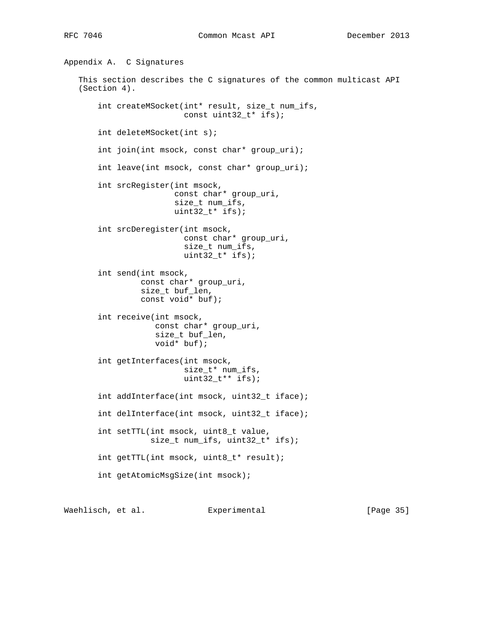```
Appendix A. C Signatures
   This section describes the C signatures of the common multicast API
   (Section 4).
       int createMSocket(int* result, size_t num_ifs,
                         const uint32_t* ifs);
       int deleteMSocket(int s);
       int join(int msock, const char* group_uri);
       int leave(int msock, const char* group_uri);
       int srcRegister(int msock,
                       const char* group_uri,
                       size_t num_ifs,
                      uint32_t * ifs); int srcDeregister(int msock,
                         const char* group_uri,
                         size_t num_ifs,
                         uint32_t* ifs);
       int send(int msock,
const char* group_uri,
size_t buf_len,
                const void* buf);
       int receive(int msock,
                   const char* group_uri,
                   size_t buf_len,
                   void* buf);
       int getInterfaces(int msock,
                         size_t* num_ifs,
                         uint32_t** ifs);
       int addInterface(int msock, uint32_t iface);
       int delInterface(int msock, uint32_t iface);
       int setTTL(int msock, uint8_t value,
                  size_t num_ifs, uint32_t* ifs);
       int getTTL(int msock, uint8_t* result);
       int getAtomicMsgSize(int msock);
```
Waehlisch, et al. Experimental [Page 35]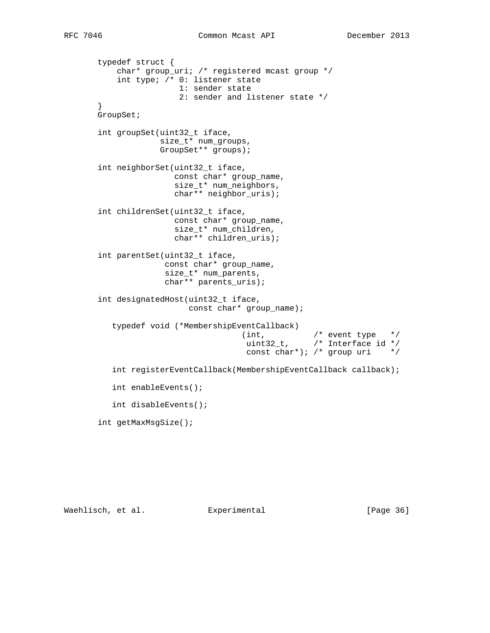```
 typedef struct {
          char* group_uri; /* registered mcast group */
          int type; /* 0: listener state
                      1: sender state
                     2: sender and listener state */
      }
      GroupSet;
      int groupSet(uint32_t iface,
                  size_t* num_groups,
                  GroupSet** groups);
      int neighborSet(uint32_t iface,
                     const char* group_name,
                     size_t* num_neighbors,
                     char** neighbor_uris);
      int childrenSet(uint32_t iface,
                     const char* group_name,
                     size_t* num_children,
                     char** children_uris);
      int parentSet(uint32_t iface,
                   const char* group_name,
                   size_t* num_parents,
                   char** parents_uris);
      int designatedHost(uint32_t iface,
                        const char* group_name);
         typedef void (*MembershipEventCallback)
(int, /* event type */
uint32_t, /* Interface id */
                                   const char*); /* group uri */
         int registerEventCallback(MembershipEventCallback callback);
         int enableEvents();
         int disableEvents();
      int getMaxMsgSize();
```
Waehlisch, et al. Experimental [Page 36]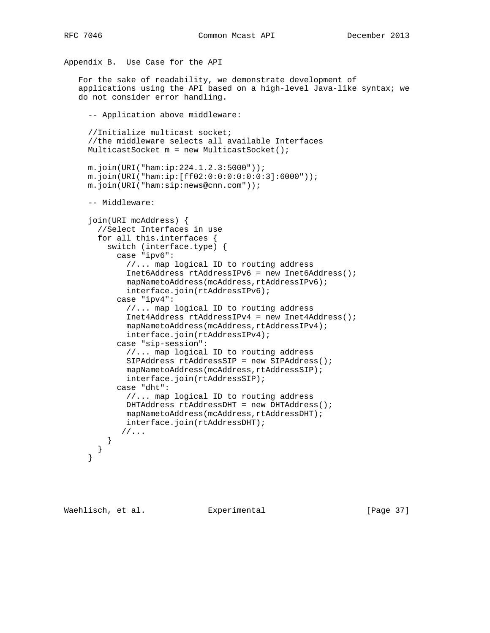```
Appendix B. Use Case for the API
   For the sake of readability, we demonstrate development of
   applications using the API based on a high-level Java-like syntax; we
   do not consider error handling.
     -- Application above middleware:
     //Initialize multicast socket;
     //the middleware selects all available Interfaces
     MulticastSocket m = new MulticastSocket();
     m.join(URI("ham:ip:224.1.2.3:5000"));
     m.join(URI("ham:ip:[ff02:0:0:0:0:0:0:3]:6000"));
     m.join(URI("ham:sip:news@cnn.com"));
     -- Middleware:
     join(URI mcAddress) {
       //Select Interfaces in use
       for all this.interfaces {
         switch (interface.type) {
           case "ipv6":
             //... map logical ID to routing address
             Inet6Address rtAddressIPv6 = new Inet6Address();
            mapNametoAddress(mcAddress,rtAddressIPv6);
             interface.join(rtAddressIPv6);
           case "ipv4":
             //... map logical ID to routing address
             Inet4Address rtAddressIPv4 = new Inet4Address();
             mapNametoAddress(mcAddress,rtAddressIPv4);
             interface.join(rtAddressIPv4);
           case "sip-session":
             //... map logical ID to routing address
             SIPAddress rtAddressSIP = new SIPAddress();
             mapNametoAddress(mcAddress,rtAddressSIP);
             interface.join(rtAddressSIP);
           case "dht":
             //... map logical ID to routing address
             DHTAddress rtAddressDHT = new DHTAddress();
             mapNametoAddress(mcAddress,rtAddressDHT);
             interface.join(rtAddressDHT);
            //...
         }
       }
     }
```
Waehlisch, et al. Experimental [Page 37]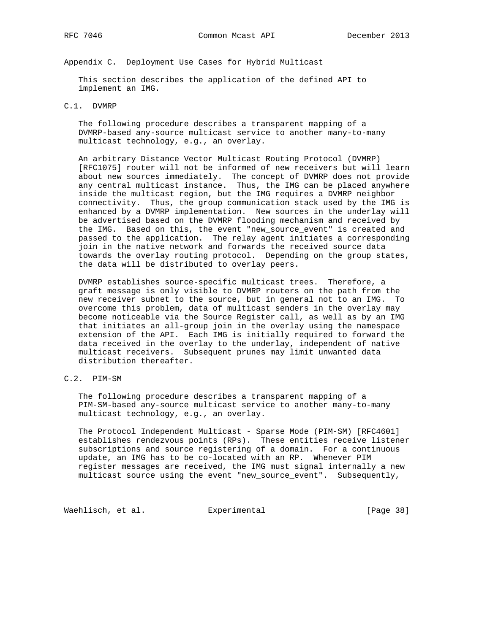Appendix C. Deployment Use Cases for Hybrid Multicast

 This section describes the application of the defined API to implement an IMG.

# C.1. DVMRP

 The following procedure describes a transparent mapping of a DVMRP-based any-source multicast service to another many-to-many multicast technology, e.g., an overlay.

 An arbitrary Distance Vector Multicast Routing Protocol (DVMRP) [RFC1075] router will not be informed of new receivers but will learn about new sources immediately. The concept of DVMRP does not provide any central multicast instance. Thus, the IMG can be placed anywhere inside the multicast region, but the IMG requires a DVMRP neighbor connectivity. Thus, the group communication stack used by the IMG is enhanced by a DVMRP implementation. New sources in the underlay will be advertised based on the DVMRP flooding mechanism and received by the IMG. Based on this, the event "new\_source\_event" is created and passed to the application. The relay agent initiates a corresponding join in the native network and forwards the received source data towards the overlay routing protocol. Depending on the group states, the data will be distributed to overlay peers.

 DVMRP establishes source-specific multicast trees. Therefore, a graft message is only visible to DVMRP routers on the path from the new receiver subnet to the source, but in general not to an IMG. To overcome this problem, data of multicast senders in the overlay may become noticeable via the Source Register call, as well as by an IMG that initiates an all-group join in the overlay using the namespace extension of the API. Each IMG is initially required to forward the data received in the overlay to the underlay, independent of native multicast receivers. Subsequent prunes may limit unwanted data distribution thereafter.

C.2. PIM-SM

 The following procedure describes a transparent mapping of a PIM-SM-based any-source multicast service to another many-to-many multicast technology, e.g., an overlay.

The Protocol Independent Multicast - Sparse Mode (PIM-SM) [RFC4601] establishes rendezvous points (RPs). These entities receive listener subscriptions and source registering of a domain. For a continuous update, an IMG has to be co-located with an RP. Whenever PIM register messages are received, the IMG must signal internally a new multicast source using the event "new\_source\_event". Subsequently,

Waehlisch, et al. Experimental [Page 38]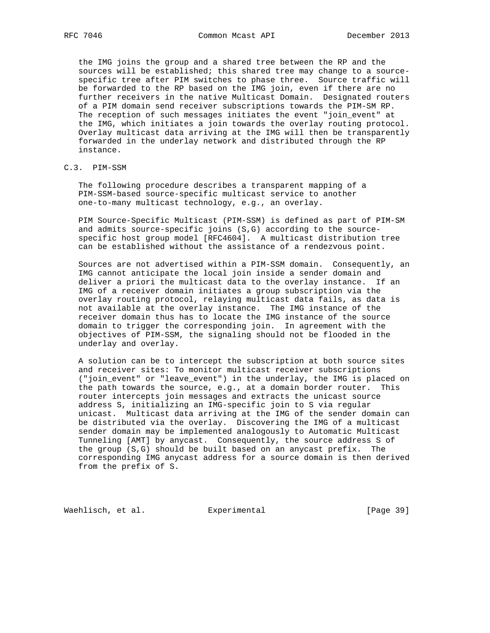the IMG joins the group and a shared tree between the RP and the sources will be established; this shared tree may change to a source specific tree after PIM switches to phase three. Source traffic will be forwarded to the RP based on the IMG join, even if there are no further receivers in the native Multicast Domain. Designated routers of a PIM domain send receiver subscriptions towards the PIM-SM RP. The reception of such messages initiates the event "join\_event" at the IMG, which initiates a join towards the overlay routing protocol. Overlay multicast data arriving at the IMG will then be transparently forwarded in the underlay network and distributed through the RP instance.

# C.3. PIM-SSM

 The following procedure describes a transparent mapping of a PIM-SSM-based source-specific multicast service to another one-to-many multicast technology, e.g., an overlay.

 PIM Source-Specific Multicast (PIM-SSM) is defined as part of PIM-SM and admits source-specific joins (S,G) according to the source specific host group model [RFC4604]. A multicast distribution tree can be established without the assistance of a rendezvous point.

 Sources are not advertised within a PIM-SSM domain. Consequently, an IMG cannot anticipate the local join inside a sender domain and deliver a priori the multicast data to the overlay instance. If an IMG of a receiver domain initiates a group subscription via the overlay routing protocol, relaying multicast data fails, as data is not available at the overlay instance. The IMG instance of the receiver domain thus has to locate the IMG instance of the source domain to trigger the corresponding join. In agreement with the objectives of PIM-SSM, the signaling should not be flooded in the underlay and overlay.

 A solution can be to intercept the subscription at both source sites and receiver sites: To monitor multicast receiver subscriptions ("join\_event" or "leave\_event") in the underlay, the IMG is placed on the path towards the source, e.g., at a domain border router. This router intercepts join messages and extracts the unicast source address S, initializing an IMG-specific join to S via regular unicast. Multicast data arriving at the IMG of the sender domain can be distributed via the overlay. Discovering the IMG of a multicast sender domain may be implemented analogously to Automatic Multicast Tunneling [AMT] by anycast. Consequently, the source address S of the group (S,G) should be built based on an anycast prefix. The corresponding IMG anycast address for a source domain is then derived from the prefix of S.

Waehlisch, et al. Experimental [Page 39]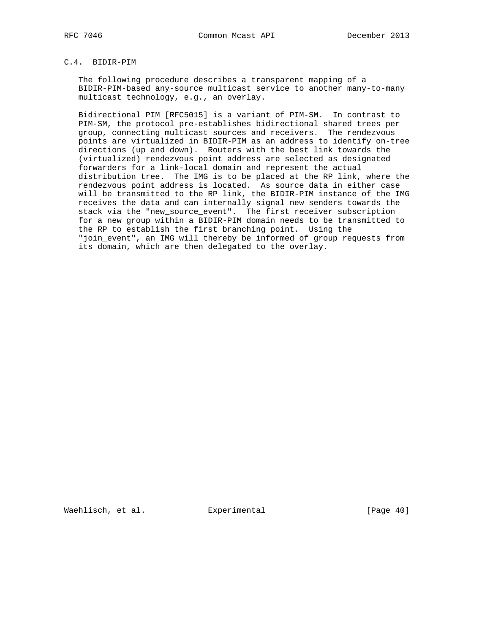# C.4. BIDIR-PIM

 The following procedure describes a transparent mapping of a BIDIR-PIM-based any-source multicast service to another many-to-many multicast technology, e.g., an overlay.

 Bidirectional PIM [RFC5015] is a variant of PIM-SM. In contrast to PIM-SM, the protocol pre-establishes bidirectional shared trees per group, connecting multicast sources and receivers. The rendezvous points are virtualized in BIDIR-PIM as an address to identify on-tree directions (up and down). Routers with the best link towards the (virtualized) rendezvous point address are selected as designated forwarders for a link-local domain and represent the actual distribution tree. The IMG is to be placed at the RP link, where the rendezvous point address is located. As source data in either case will be transmitted to the RP link, the BIDIR-PIM instance of the IMG receives the data and can internally signal new senders towards the stack via the "new\_source\_event". The first receiver subscription for a new group within a BIDIR-PIM domain needs to be transmitted to the RP to establish the first branching point. Using the "join\_event", an IMG will thereby be informed of group requests from its domain, which are then delegated to the overlay.